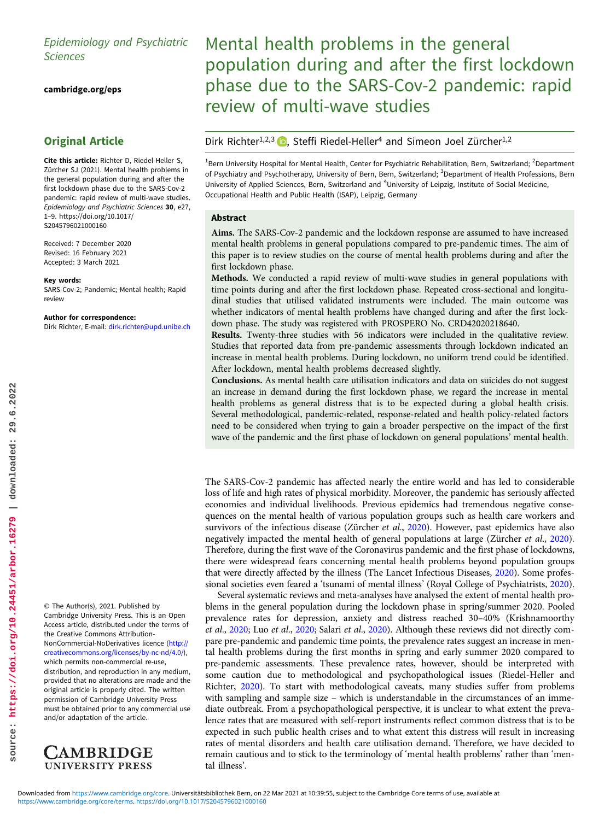# Epidemiology and Psychiatric Sciences

[cambridge.org/eps](https://www.cambridge.org/eps)

## Original Article

Cite this article: Richter D, Riedel-Heller S, Zürcher SJ (2021). Mental health problems in the general population during and after the first lockdown phase due to the SARS-Cov-2 pandemic: rapid review of multi-wave studies. Epidemiology and Psychiatric Sciences 30, e27, 1–9. [https://doi.org/10.1017/](https://doi.org/10.1017/S2045796021000160) [S2045796021000160](https://doi.org/10.1017/S2045796021000160)

Received: 7 December 2020 Revised: 16 February 2021 Accepted: 3 March 2021

#### Key words:

SARS-Cov-2; Pandemic; Mental health; Rapid review

#### Author for correspondence:

Dirk Richter, E-mail: [dirk.richter@upd.unibe.ch](mailto:dirk.richter@upd.unibe.ch)

© The Author(s), 2021. Published by Cambridge University Press. This is an Open Access article, distributed under the terms of the Creative Commons Attribution-NonCommercial-NoDerivatives licence [\(http://](http://creativecommons.org/licenses/by-nc-nd/4.0/) [creativecommons.org/licenses/by-nc-nd/4.0/\)](http://creativecommons.org/licenses/by-nc-nd/4.0/), which permits non-commercial re-use, distribution, and reproduction in any medium, provided that no alterations are made and the original article is properly cited. The written permission of Cambridge University Press must be obtained prior to any commercial use and/or adaptation of the article.



Mental health problems in the general population during and after the first lockdown phase due to the SARS-Cov-2 pandemic: rapid review of multi-wave studies

## Dirk Richter<sup>1,2,3</sup> <sub>(b)</sub>, Steffi Riedel-Heller<sup>4</sup> and Simeon Joel Zürcher<sup>1,2</sup>

<sup>1</sup>Bern University Hospital for Mental Health, Center for Psychiatric Rehabilitation, Bern, Switzerland; <sup>2</sup>Department of Psychiatry and Psychotherapy, University of Bern, Bern, Switzerland; <sup>3</sup>Department of Health Professions, Bern University of Applied Sciences, Bern, Switzerland and <sup>4</sup>University of Leipzig, Institute of Social Medicine, Occupational Health and Public Health (ISAP), Leipzig, Germany

### Abstract

Aims. The SARS-Cov-2 pandemic and the lockdown response are assumed to have increased mental health problems in general populations compared to pre-pandemic times. The aim of this paper is to review studies on the course of mental health problems during and after the first lockdown phase.

Methods. We conducted a rapid review of multi-wave studies in general populations with time points during and after the first lockdown phase. Repeated cross-sectional and longitudinal studies that utilised validated instruments were included. The main outcome was whether indicators of mental health problems have changed during and after the first lockdown phase. The study was registered with PROSPERO No. CRD42020218640.

Results. Twenty-three studies with 56 indicators were included in the qualitative review. Studies that reported data from pre-pandemic assessments through lockdown indicated an increase in mental health problems. During lockdown, no uniform trend could be identified. After lockdown, mental health problems decreased slightly.

Conclusions. As mental health care utilisation indicators and data on suicides do not suggest an increase in demand during the first lockdown phase, we regard the increase in mental health problems as general distress that is to be expected during a global health crisis. Several methodological, pandemic-related, response-related and health policy-related factors need to be considered when trying to gain a broader perspective on the impact of the first wave of the pandemic and the first phase of lockdown on general populations' mental health.

The SARS-Cov-2 pandemic has affected nearly the entire world and has led to considerable loss of life and high rates of physical morbidity. Moreover, the pandemic has seriously affected economies and individual livelihoods. Previous epidemics had tremendous negative consequences on the mental health of various population groups such as health care workers and survivors of the infectious disease (Zürcher et al., 2020). However, past epidemics have also negatively impacted the mental health of general populations at large (Zürcher et al., 2020). Therefore, during the first wave of the Coronavirus pandemic and the first phase of lockdowns, there were widespread fears concerning mental health problems beyond population groups that were directly affected by the illness (The Lancet Infectious Diseases, 2020). Some professional societies even feared a 'tsunami of mental illness' (Royal College of Psychiatrists, 2020).

Several systematic reviews and meta-analyses have analysed the extent of mental health problems in the general population during the lockdown phase in spring/summer 2020. Pooled prevalence rates for depression, anxiety and distress reached 30–40% (Krishnamoorthy et al., 2020; Luo et al., 2020; Salari et al., 2020). Although these reviews did not directly compare pre-pandemic and pandemic time points, the prevalence rates suggest an increase in mental health problems during the first months in spring and early summer 2020 compared to pre-pandemic assessments. These prevalence rates, however, should be interpreted with some caution due to methodological and psychopathological issues (Riedel-Heller and Richter, 2020). To start with methodological caveats, many studies suffer from problems with sampling and sample size – which is understandable in the circumstances of an immediate outbreak. From a psychopathological perspective, it is unclear to what extent the prevalence rates that are measured with self-report instruments reflect common distress that is to be expected in such public health crises and to what extent this distress will result in increasing rates of mental disorders and health care utilisation demand. Therefore, we have decided to remain cautious and to stick to the terminology of 'mental health problems' rather than 'mental illness'.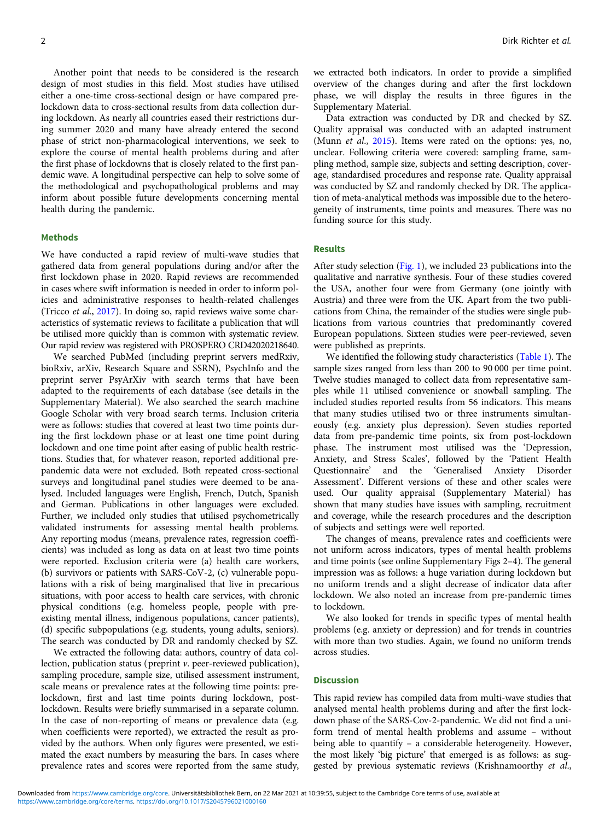Another point that needs to be considered is the research design of most studies in this field. Most studies have utilised either a one-time cross-sectional design or have compared prelockdown data to cross-sectional results from data collection during lockdown. As nearly all countries eased their restrictions during summer 2020 and many have already entered the second phase of strict non-pharmacological interventions, we seek to explore the course of mental health problems during and after the first phase of lockdowns that is closely related to the first pandemic wave. A longitudinal perspective can help to solve some of the methodological and psychopathological problems and may inform about possible future developments concerning mental health during the pandemic.

## **Methods**

We have conducted a rapid review of multi-wave studies that gathered data from general populations during and/or after the first lockdown phase in 2020. Rapid reviews are recommended in cases where swift information is needed in order to inform policies and administrative responses to health-related challenges (Tricco et al., 2017). In doing so, rapid reviews waive some characteristics of systematic reviews to facilitate a publication that will be utilised more quickly than is common with systematic review. Our rapid review was registered with PROSPERO CRD42020218640.

We searched PubMed (including preprint servers medRxiv, bioRxiv, arXiv, Research Square and SSRN), PsychInfo and the preprint server PsyArXiv with search terms that have been adapted to the requirements of each database (see details in the Supplementary Material). We also searched the search machine Google Scholar with very broad search terms. Inclusion criteria were as follows: studies that covered at least two time points during the first lockdown phase or at least one time point during lockdown and one time point after easing of public health restrictions. Studies that, for whatever reason, reported additional prepandemic data were not excluded. Both repeated cross-sectional surveys and longitudinal panel studies were deemed to be analysed. Included languages were English, French, Dutch, Spanish and German. Publications in other languages were excluded. Further, we included only studies that utilised psychometrically validated instruments for assessing mental health problems. Any reporting modus (means, prevalence rates, regression coefficients) was included as long as data on at least two time points were reported. Exclusion criteria were (a) health care workers, (b) survivors or patients with SARS-CoV-2, (c) vulnerable populations with a risk of being marginalised that live in precarious situations, with poor access to health care services, with chronic physical conditions (e.g. homeless people, people with preexisting mental illness, indigenous populations, cancer patients), (d) specific subpopulations (e.g. students, young adults, seniors). The search was conducted by DR and randomly checked by SZ.

We extracted the following data: authors, country of data collection, publication status (preprint  $\nu$ . peer-reviewed publication), sampling procedure, sample size, utilised assessment instrument, scale means or prevalence rates at the following time points: prelockdown, first and last time points during lockdown, postlockdown. Results were briefly summarised in a separate column. In the case of non-reporting of means or prevalence data (e.g. when coefficients were reported), we extracted the result as provided by the authors. When only figures were presented, we estimated the exact numbers by measuring the bars. In cases where prevalence rates and scores were reported from the same study, we extracted both indicators. In order to provide a simplified overview of the changes during and after the first lockdown phase, we will display the results in three figures in the Supplementary Material.

Data extraction was conducted by DR and checked by SZ. Quality appraisal was conducted with an adapted instrument (Munn *et al.*,  $2015$ ). Items were rated on the options: yes, no, unclear. Following criteria were covered: sampling frame, sampling method, sample size, subjects and setting description, coverage, standardised procedures and response rate. Quality appraisal was conducted by SZ and randomly checked by DR. The application of meta-analytical methods was impossible due to the heterogeneity of instruments, time points and measures. There was no funding source for this study.

## Results

After study selection (Fig. 1), we included 23 publications into the qualitative and narrative synthesis. Four of these studies covered the USA, another four were from Germany (one jointly with Austria) and three were from the UK. Apart from the two publications from China, the remainder of the studies were single publications from various countries that predominantly covered European populations. Sixteen studies were peer-reviewed, seven were published as preprints.

We identified the following study characteristics (Table 1). The sample sizes ranged from less than 200 to 90 000 per time point. Twelve studies managed to collect data from representative samples while 11 utilised convenience or snowball sampling. The included studies reported results from 56 indicators. This means that many studies utilised two or three instruments simultaneously (e.g. anxiety plus depression). Seven studies reported data from pre-pandemic time points, six from post-lockdown phase. The instrument most utilised was the 'Depression, Anxiety, and Stress Scales', followed by the 'Patient Health Questionnaire' and the 'Generalised Anxiety Disorder Assessment'. Different versions of these and other scales were used. Our quality appraisal (Supplementary Material) has shown that many studies have issues with sampling, recruitment and coverage, while the research procedures and the description of subjects and settings were well reported.

The changes of means, prevalence rates and coefficients were not uniform across indicators, types of mental health problems and time points (see online Supplementary Figs 2–4). The general impression was as follows: a huge variation during lockdown but no uniform trends and a slight decrease of indicator data after lockdown. We also noted an increase from pre-pandemic times to lockdown.

We also looked for trends in specific types of mental health problems (e.g. anxiety or depression) and for trends in countries with more than two studies. Again, we found no uniform trends across studies.

### **Discussion**

This rapid review has compiled data from multi-wave studies that analysed mental health problems during and after the first lockdown phase of the SARS-Cov-2-pandemic. We did not find a uniform trend of mental health problems and assume – without being able to quantify – a considerable heterogeneity. However, the most likely 'big picture' that emerged is as follows: as suggested by previous systematic reviews (Krishnamoorthy et al.,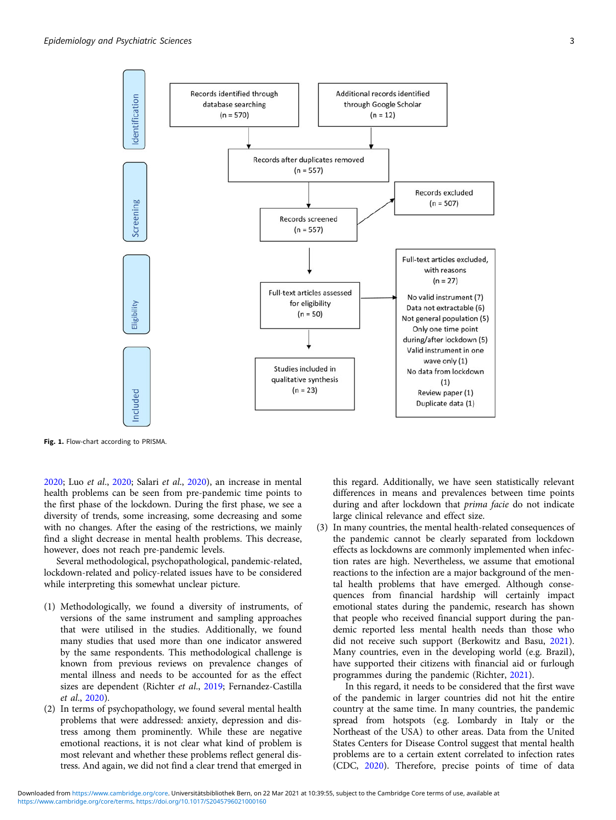

Fig. 1. Flow-chart according to PRISMA.

2020; Luo et al., 2020; Salari et al., 2020), an increase in mental health problems can be seen from pre-pandemic time points to the first phase of the lockdown. During the first phase, we see a diversity of trends, some increasing, some decreasing and some with no changes. After the easing of the restrictions, we mainly find a slight decrease in mental health problems. This decrease, however, does not reach pre-pandemic levels.

Several methodological, psychopathological, pandemic-related, lockdown-related and policy-related issues have to be considered while interpreting this somewhat unclear picture.

- (1) Methodologically, we found a diversity of instruments, of versions of the same instrument and sampling approaches that were utilised in the studies. Additionally, we found many studies that used more than one indicator answered by the same respondents. This methodological challenge is known from previous reviews on prevalence changes of mental illness and needs to be accounted for as the effect sizes are dependent (Richter et al., 2019; Fernandez-Castilla et al., 2020).
- (2) In terms of psychopathology, we found several mental health problems that were addressed: anxiety, depression and distress among them prominently. While these are negative emotional reactions, it is not clear what kind of problem is most relevant and whether these problems reflect general distress. And again, we did not find a clear trend that emerged in

this regard. Additionally, we have seen statistically relevant differences in means and prevalences between time points during and after lockdown that prima facie do not indicate large clinical relevance and effect size.

(3) In many countries, the mental health-related consequences of the pandemic cannot be clearly separated from lockdown effects as lockdowns are commonly implemented when infection rates are high. Nevertheless, we assume that emotional reactions to the infection are a major background of the mental health problems that have emerged. Although consequences from financial hardship will certainly impact emotional states during the pandemic, research has shown that people who received financial support during the pandemic reported less mental health needs than those who did not receive such support (Berkowitz and Basu, 2021). Many countries, even in the developing world (e.g. Brazil), have supported their citizens with financial aid or furlough programmes during the pandemic (Richter, 2021).

In this regard, it needs to be considered that the first wave of the pandemic in larger countries did not hit the entire country at the same time. In many countries, the pandemic spread from hotspots (e.g. Lombardy in Italy or the Northeast of the USA) to other areas. Data from the United States Centers for Disease Control suggest that mental health problems are to a certain extent correlated to infection rates (CDC, 2020). Therefore, precise points of time of data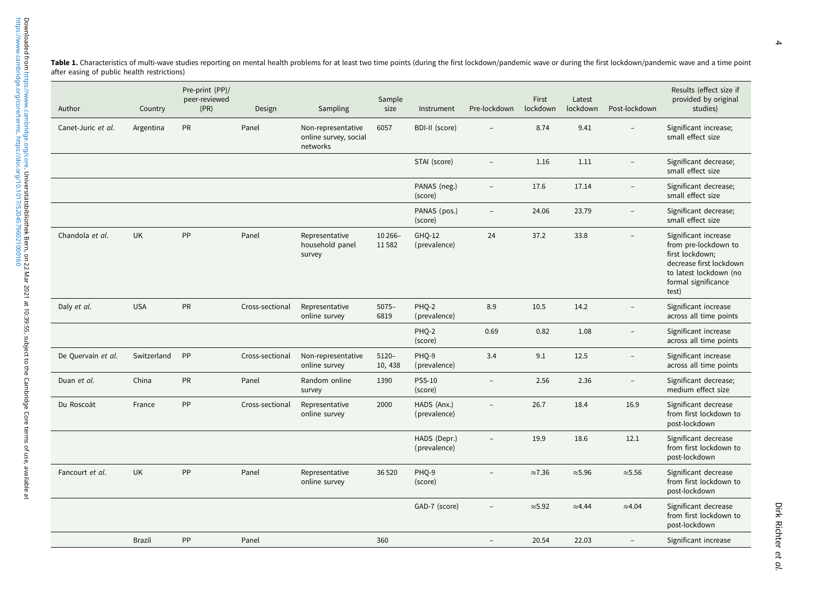Table 1. Characteristics of multi-wave studies reporting on mental health problems for at least two time points (during the first lockdown/pandemic wave or during the first lockdown/pandemic wave or during the first lockdo after easing of public health restrictions)

| Author             | Country       | Pre-print (PP)/<br>peer-reviewed<br>(PR) | Design          | Sampling                                                | Sample<br>size      | Instrument                   | Pre-lockdown             | First<br>lockdown | Latest<br>lockdown | Post-lockdown            | Results (effect size if<br>provided by original<br>studies)                                                                                          |
|--------------------|---------------|------------------------------------------|-----------------|---------------------------------------------------------|---------------------|------------------------------|--------------------------|-------------------|--------------------|--------------------------|------------------------------------------------------------------------------------------------------------------------------------------------------|
| Canet-Juric et al. | Argentina     | PR                                       | Panel           | Non-representative<br>online survey, social<br>networks | 6057                | BDI-II (score)               |                          | 8.74              | 9.41               |                          | Significant increase;<br>small effect size                                                                                                           |
|                    |               |                                          |                 |                                                         |                     | STAI (score)                 |                          | 1.16              | 1.11               |                          | Significant decrease;<br>small effect size                                                                                                           |
|                    |               |                                          |                 |                                                         |                     | PANAS (neg.)<br>(score)      | $\equiv$                 | 17.6              | 17.14              | $\overline{\phantom{0}}$ | Significant decrease;<br>small effect size                                                                                                           |
|                    |               |                                          |                 |                                                         |                     | PANAS (pos.)<br>(score)      | $\overline{\phantom{0}}$ | 24.06             | 23.79              | $\overline{\phantom{0}}$ | Significant decrease;<br>small effect size                                                                                                           |
| Chandola et al.    | <b>UK</b>     | PP                                       | Panel           | Representative<br>household panel<br>survey             | 10 266-<br>11582    | GHQ-12<br>(prevalence)       | 24                       | 37.2              | 33.8               |                          | Significant increase<br>from pre-lockdown to<br>first lockdown;<br>decrease first lockdown<br>to latest lockdown (no<br>formal significance<br>test) |
| Daly et al.        | <b>USA</b>    | PR                                       | Cross-sectional | Representative<br>online survey                         | $5075 -$<br>6819    | PHQ-2<br>(prevalence)        | 8.9                      | 10.5              | 14.2               |                          | Significant increase<br>across all time points                                                                                                       |
|                    |               |                                          |                 |                                                         |                     | PHQ-2<br>(score)             | 0.69                     | 0.82              | 1.08               | Ĭ.                       | Significant increase<br>across all time points                                                                                                       |
| De Quervain et al. | Switzerland   | PP                                       | Cross-sectional | Non-representative<br>online survey                     | $5120 -$<br>10, 438 | PHO-9<br>(prevalence)        | 3.4                      | 9.1               | 12.5               | $\overline{\phantom{a}}$ | Significant increase<br>across all time points                                                                                                       |
| Duan et al.        | China         | PR                                       | Panel           | Random online<br>survey                                 | 1390                | <b>PSS-10</b><br>(score)     | $\overline{\phantom{0}}$ | 2.56              | 2.36               | $\overline{\phantom{0}}$ | Significant decrease;<br>medium effect size                                                                                                          |
| Du Roscoät         | France        | PP                                       | Cross-sectional | Representative<br>online survey                         | 2000                | HADS (Anx.)<br>(prevalence)  |                          | 26.7              | 18.4               | 16.9                     | Significant decrease<br>from first lockdown to<br>post-lockdown                                                                                      |
|                    |               |                                          |                 |                                                         |                     | HADS (Depr.)<br>(prevalence) |                          | 19.9              | 18.6               | 12.1                     | Significant decrease<br>from first lockdown to<br>post-lockdown                                                                                      |
| Fancourt et al.    | <b>UK</b>     | PP                                       | Panel           | Representative<br>online survey                         | 36 5 20             | PHQ-9<br>(score)             | $\overline{a}$           | $\approx 7.36$    | $\approx 5.96$     | $\approx$ 5.56           | Significant decrease<br>from first lockdown to<br>post-lockdown                                                                                      |
|                    |               |                                          |                 |                                                         |                     | GAD-7 (score)                |                          | $\approx$ 5.92    | $\approx$ 4.44     | $\approx 4.04$           | Significant decrease<br>from first lockdown to<br>post-lockdown                                                                                      |
|                    | <b>Brazil</b> | PP                                       | Panel           |                                                         | 360                 |                              | $\overline{\phantom{a}}$ | 20.54             | 22.03              | $\overline{\phantom{a}}$ | Significant increase                                                                                                                                 |

Γ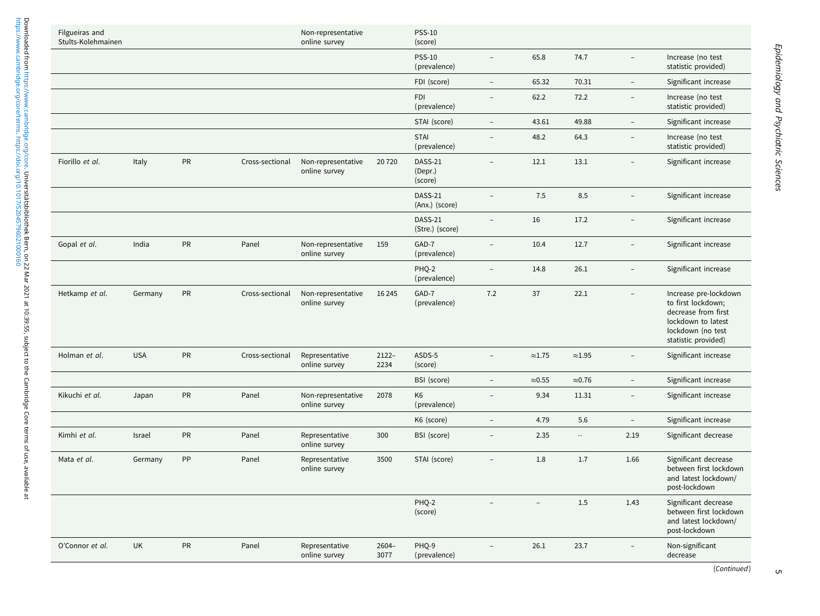| Filgueiras and<br>Stults-Kolehmainen |            |            |                 | Non-representative<br>online survey |                  | <b>PSS-10</b><br>(score)       |                          |                          |                 |                          |                                                                                                                                      |
|--------------------------------------|------------|------------|-----------------|-------------------------------------|------------------|--------------------------------|--------------------------|--------------------------|-----------------|--------------------------|--------------------------------------------------------------------------------------------------------------------------------------|
|                                      |            |            |                 |                                     |                  | <b>PSS-10</b><br>(prevalence)  | $\equiv$                 | 65.8                     | 74.7            | $\overline{a}$           | Increase (no test<br>statistic provided)                                                                                             |
|                                      |            |            |                 |                                     |                  | FDI (score)                    | $\overline{\phantom{a}}$ | 65.32                    | 70.31           | $\bar{ }$                | Significant increase                                                                                                                 |
|                                      |            |            |                 |                                     |                  | <b>FDI</b><br>(prevalence)     | $\equiv$                 | 62.2                     | 72.2            | $\qquad \qquad -$        | Increase (no test<br>statistic provided)                                                                                             |
|                                      |            |            |                 |                                     |                  | STAI (score)                   | $\overline{\phantom{0}}$ | 43.61                    | 49.88           | $\overline{a}$           | Significant increase                                                                                                                 |
|                                      |            |            |                 |                                     |                  | <b>STAI</b><br>(prevalence)    | $\overline{a}$           | 48.2                     | 64.3            | $\overline{a}$           | Increase (no test<br>statistic provided)                                                                                             |
| Fiorillo et al.                      | Italy      | PR         | Cross-sectional | Non-representative<br>online survey | 20720            | DASS-21<br>(Depr.)<br>(score)  |                          | 12.1                     | 13.1            | $\overline{\phantom{0}}$ | Significant increase                                                                                                                 |
|                                      |            |            |                 |                                     |                  | DASS-21<br>(Anx.) (score)      |                          | 7.5                      | 8.5             |                          | Significant increase                                                                                                                 |
|                                      |            |            |                 |                                     |                  | DASS-21<br>(Stre.) (score)     | $\overline{a}$           | 16                       | 17.2            | $\overline{a}$           | Significant increase                                                                                                                 |
| Gopal et al.                         | India      | PR         | Panel           | Non-representative<br>online survey | 159              | GAD-7<br>(prevalence)          | $\overline{a}$           | 10.4                     | 12.7            | $\overline{\phantom{a}}$ | Significant increase                                                                                                                 |
|                                      |            |            |                 |                                     |                  | PHO-2<br>(prevalence)          |                          | 14.8                     | 26.1            |                          | Significant increase                                                                                                                 |
| Hetkamp et al.                       | Germany    | PR         | Cross-sectional | Non-representative<br>online survey | 16 24 5          | GAD-7<br>(prevalence)          | 7.2                      | 37                       | 22.1            | $\equiv$                 | Increase pre-lockdown<br>to first lockdown;<br>decrease from first<br>lockdown to latest<br>lockdown (no test<br>statistic provided) |
| Holman et al.                        | <b>USA</b> | ${\sf PR}$ | Cross-sectional | Representative<br>online survey     | $2122 -$<br>2234 | ASDS-5<br>(score)              | $\overline{\phantom{a}}$ | $\approx$ 1.75           | ${\approx}1.95$ |                          | Significant increase                                                                                                                 |
|                                      |            |            |                 |                                     |                  | BSI (score)                    | $\overline{\phantom{a}}$ | $\approx 0.55$           | $\approx 0.76$  | $\overline{\phantom{a}}$ | Significant increase                                                                                                                 |
| Kikuchi et al.                       | Japan      | PR         | Panel           | Non-representative<br>online survey | 2078             | K <sub>6</sub><br>(prevalence) | $\overline{a}$           | 9.34                     | 11.31           | $\overline{\phantom{0}}$ | Significant increase                                                                                                                 |
|                                      |            |            |                 |                                     |                  | K6 (score)                     | $\overline{\phantom{a}}$ | 4.79                     | 5.6             | $\equiv$                 | Significant increase                                                                                                                 |
| Kimhi et al.                         | Israel     | PR         | Panel           | Representative<br>online survey     | 300              | BSI (score)                    | $\overline{\phantom{a}}$ | 2.35                     | $\ldots$        | 2.19                     | Significant decrease                                                                                                                 |
| Mata et al.                          | Germany    | PP         | Panel           | Representative<br>online survey     | 3500             | STAI (score)                   | $\overline{a}$           | 1.8                      | 1.7             | 1.66                     | Significant decrease<br>between first lockdown<br>and latest lockdown/<br>post-lockdown                                              |
|                                      |            |            |                 |                                     |                  | PHQ-2<br>(score)               |                          | $\overline{\phantom{m}}$ | 1.5             | 1.43                     | Significant decrease<br>between first lockdown<br>and latest lockdown/<br>post-lockdown                                              |
| O'Connor et al.                      | <b>UK</b>  | <b>PR</b>  | Panel           | Representative<br>online survey     | $2604-$<br>3077  | PHQ-9<br>(prevalence)          |                          | 26.1                     | 23.7            | $\overline{\phantom{0}}$ | Non-significant<br>decrease                                                                                                          |

 $\sigma$ 

ļ.

l.

J.

ŀ,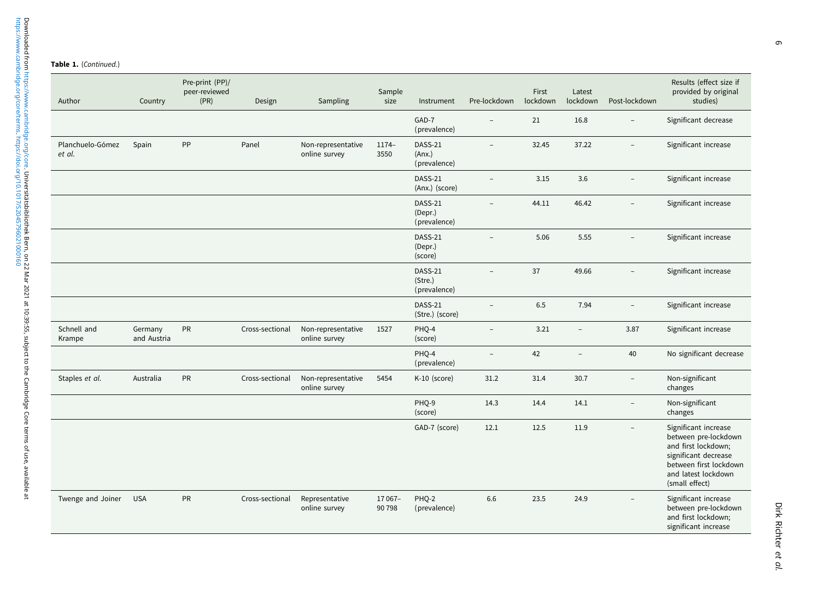## Table 1. (Continued.)

| Author                     | Country                | Pre-print (PP)/<br>peer-reviewed<br>(PR) | Design          | Sampling                            | Sample<br>size   | Instrument                               | Pre-lockdown             | First<br>lockdown | Latest<br>lockdown       | Post-lockdown            | Results (effect size if<br>provided by original<br>studies)                                                                                                    |
|----------------------------|------------------------|------------------------------------------|-----------------|-------------------------------------|------------------|------------------------------------------|--------------------------|-------------------|--------------------------|--------------------------|----------------------------------------------------------------------------------------------------------------------------------------------------------------|
|                            |                        |                                          |                 |                                     |                  | GAD-7<br>(prevalence)                    | L.                       | 21                | 16.8                     | $\overline{a}$           | Significant decrease                                                                                                                                           |
| Planchuelo-Gómez<br>et al. | Spain                  | PP                                       | Panel           | Non-representative<br>online survey | $1174-$<br>3550  | <b>DASS-21</b><br>(Ans.)<br>(prevalence) | $\overline{\phantom{0}}$ | 32.45             | 37.22                    | $\overline{\phantom{0}}$ | Significant increase                                                                                                                                           |
|                            |                        |                                          |                 |                                     |                  | DASS-21<br>(Anx.) (score)                | $\overline{\phantom{0}}$ | 3.15              | 3.6                      | $\overline{\phantom{0}}$ | Significant increase                                                                                                                                           |
|                            |                        |                                          |                 |                                     |                  | DASS-21<br>(Depr.)<br>(prevalence)       |                          | 44.11             | 46.42                    | $\overline{\phantom{0}}$ | Significant increase                                                                                                                                           |
|                            |                        |                                          |                 |                                     |                  | DASS-21<br>(Depr.)<br>(score)            | $\overline{\phantom{0}}$ | 5.06              | 5.55                     | $\overline{\phantom{0}}$ | Significant increase                                                                                                                                           |
|                            |                        |                                          |                 |                                     |                  | DASS-21<br>(Stre.)<br>(prevalence)       | $\overline{\phantom{0}}$ | 37                | 49.66                    | $\overline{\phantom{0}}$ | Significant increase                                                                                                                                           |
|                            |                        |                                          |                 |                                     |                  | <b>DASS-21</b><br>(Stre.) (score)        | $\equiv$                 | 6.5               | 7.94                     | $\overline{\phantom{a}}$ | Significant increase                                                                                                                                           |
| Schnell and<br>Krampe      | Germany<br>and Austria | PR                                       | Cross-sectional | Non-representative<br>online survey | 1527             | PHQ-4<br>(score)                         | $\overline{\phantom{a}}$ | 3.21              | $\overline{\phantom{a}}$ | 3.87                     | Significant increase                                                                                                                                           |
|                            |                        |                                          |                 |                                     |                  | PHQ-4<br>(prevalence)                    | $\equiv$                 | 42                | $\overline{a}$           | 40                       | No significant decrease                                                                                                                                        |
| Staples et al.             | Australia              | PR                                       | Cross-sectional | Non-representative<br>online survey | 5454             | K-10 (score)                             | 31.2                     | 31.4              | 30.7                     | $\overline{\phantom{0}}$ | Non-significant<br>changes                                                                                                                                     |
|                            |                        |                                          |                 |                                     |                  | PHQ-9<br>(score)                         | 14.3                     | 14.4              | 14.1                     | $\qquad \qquad -$        | Non-significant<br>changes                                                                                                                                     |
|                            |                        |                                          |                 |                                     |                  | GAD-7 (score)                            | 12.1                     | 12.5              | 11.9                     | $\overline{\phantom{0}}$ | Significant increase<br>between pre-lockdown<br>and first lockdown;<br>significant decrease<br>between first lockdown<br>and latest lockdown<br>(small effect) |
| Twenge and Joiner          | <b>USA</b>             | PR                                       | Cross-sectional | Representative<br>online survey     | 17 067-<br>90798 | PHQ-2<br>(prevalence)                    | 6.6                      | 23.5              | 24.9                     |                          | Significant increase<br>between pre-lockdown<br>and first lockdown;<br>significant increase                                                                    |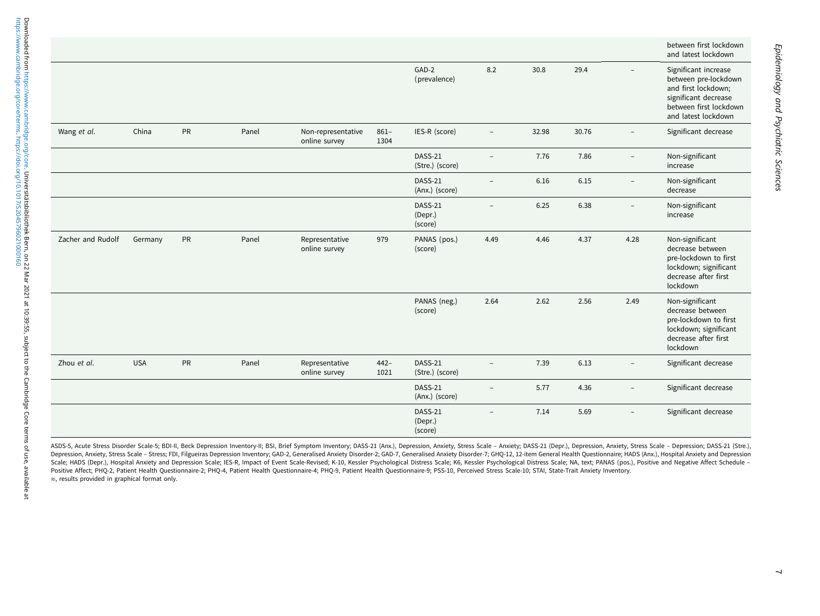|                   |            |           |       |                                     |                 |                               |                          |       |       |                     | between first lockdown<br>and latest lockdown                                                                                                |
|-------------------|------------|-----------|-------|-------------------------------------|-----------------|-------------------------------|--------------------------|-------|-------|---------------------|----------------------------------------------------------------------------------------------------------------------------------------------|
|                   |            |           |       |                                     |                 | GAD-2<br>(prevalence)         | 8.2                      | 30.8  | 29.4  |                     | Significant increase<br>between pre-lockdown<br>and first lockdown;<br>significant decrease<br>between first lockdown<br>and latest lockdown |
| Wang et al.       | China      | <b>PR</b> | Panel | Non-representative<br>online survey | $861 -$<br>1304 | IES-R (score)                 | $\overline{a}$           | 32.98 | 30.76 |                     | Significant decrease                                                                                                                         |
|                   |            |           |       |                                     |                 | DASS-21<br>(Stre.) (score)    |                          | 7.76  | 7.86  |                     | Non-significant<br>increase                                                                                                                  |
|                   |            |           |       |                                     |                 | DASS-21<br>(Anx.) (score)     | $\overline{\phantom{a}}$ | 6.16  | 6.15  |                     | Non-significant<br>decrease                                                                                                                  |
|                   |            |           |       |                                     |                 | DASS-21<br>(Depr.)<br>(score) |                          | 6.25  | 6.38  |                     | Non-significant<br>increase                                                                                                                  |
| Zacher and Rudolf | Germany    | PR        | Panel | Representative<br>online survey     | 979             | PANAS (pos.)<br>(score)       | 4.49                     | 4.46  | 4.37  | 4.28                | Non-significant<br>decrease between<br>pre-lockdown to first<br>lockdown; significant<br>decrease after first<br>lockdown                    |
|                   |            |           |       |                                     |                 | PANAS (neg.)<br>(score)       | 2.64                     | 2.62  | 2.56  | 2.49                | Non-significant<br>decrease between<br>pre-lockdown to first<br>lockdown; significant<br>decrease after first<br>lockdown                    |
| Zhou et al.       | <b>USA</b> | PR        | Panel | Representative<br>online survey     | $442 -$<br>1021 | DASS-21<br>(Stre.) (score)    |                          | 7.39  | 6.13  |                     | Significant decrease                                                                                                                         |
|                   |            |           |       |                                     |                 | DASS-21<br>(Anx.) (score)     |                          | 5.77  | 4.36  |                     | Significant decrease                                                                                                                         |
|                   |            |           |       |                                     |                 | DASS-21<br>(Depr.)<br>(score) |                          | 7.14  | 5.69  | $\bar{\phantom{a}}$ | Significant decrease                                                                                                                         |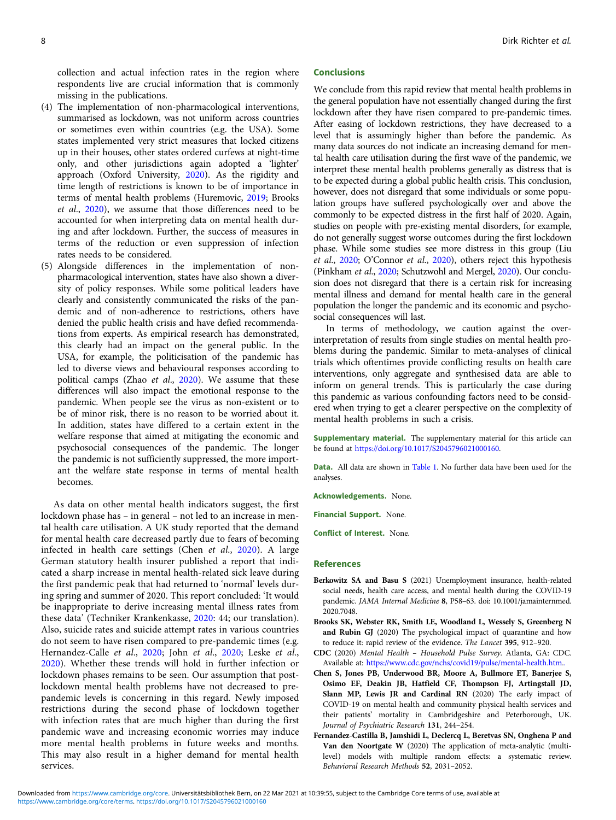collection and actual infection rates in the region where respondents live are crucial information that is commonly missing in the publications.

- (4) The implementation of non-pharmacological interventions, summarised as lockdown, was not uniform across countries or sometimes even within countries (e.g. the USA). Some states implemented very strict measures that locked citizens up in their houses, other states ordered curfews at night-time only, and other jurisdictions again adopted a 'lighter' approach (Oxford University, 2020). As the rigidity and time length of restrictions is known to be of importance in terms of mental health problems (Huremovic, 2019; Brooks et al., 2020), we assume that those differences need to be accounted for when interpreting data on mental health during and after lockdown. Further, the success of measures in terms of the reduction or even suppression of infection rates needs to be considered.
- (5) Alongside differences in the implementation of nonpharmacological intervention, states have also shown a diversity of policy responses. While some political leaders have clearly and consistently communicated the risks of the pandemic and of non-adherence to restrictions, others have denied the public health crisis and have defied recommendations from experts. As empirical research has demonstrated, this clearly had an impact on the general public. In the USA, for example, the politicisation of the pandemic has led to diverse views and behavioural responses according to political camps (Zhao et al., 2020). We assume that these differences will also impact the emotional response to the pandemic. When people see the virus as non-existent or to be of minor risk, there is no reason to be worried about it. In addition, states have differed to a certain extent in the welfare response that aimed at mitigating the economic and psychosocial consequences of the pandemic. The longer the pandemic is not sufficiently suppressed, the more important the welfare state response in terms of mental health becomes.

As data on other mental health indicators suggest, the first lockdown phase has – in general – not led to an increase in mental health care utilisation. A UK study reported that the demand for mental health care decreased partly due to fears of becoming infected in health care settings (Chen et al., 2020). A large German statutory health insurer published a report that indicated a sharp increase in mental health-related sick leave during the first pandemic peak that had returned to 'normal' levels during spring and summer of 2020. This report concluded: 'It would be inappropriate to derive increasing mental illness rates from these data' (Techniker Krankenkasse, 2020: 44; our translation). Also, suicide rates and suicide attempt rates in various countries do not seem to have risen compared to pre-pandemic times (e.g. Hernandez-Calle et al., 2020; John et al., 2020; Leske et al., 2020). Whether these trends will hold in further infection or lockdown phases remains to be seen. Our assumption that postlockdown mental health problems have not decreased to prepandemic levels is concerning in this regard. Newly imposed restrictions during the second phase of lockdown together with infection rates that are much higher than during the first pandemic wave and increasing economic worries may induce more mental health problems in future weeks and months. This may also result in a higher demand for mental health services.

#### Conclusions

We conclude from this rapid review that mental health problems in the general population have not essentially changed during the first lockdown after they have risen compared to pre-pandemic times. After easing of lockdown restrictions, they have decreased to a level that is assumingly higher than before the pandemic. As many data sources do not indicate an increasing demand for mental health care utilisation during the first wave of the pandemic, we interpret these mental health problems generally as distress that is to be expected during a global public health crisis. This conclusion, however, does not disregard that some individuals or some population groups have suffered psychologically over and above the commonly to be expected distress in the first half of 2020. Again, studies on people with pre-existing mental disorders, for example, do not generally suggest worse outcomes during the first lockdown phase. While some studies see more distress in this group (Liu et al., 2020; O'Connor et al., 2020), others reject this hypothesis (Pinkham et al., 2020; Schutzwohl and Mergel, 2020). Our conclusion does not disregard that there is a certain risk for increasing mental illness and demand for mental health care in the general population the longer the pandemic and its economic and psychosocial consequences will last.

In terms of methodology, we caution against the overinterpretation of results from single studies on mental health problems during the pandemic. Similar to meta-analyses of clinical trials which oftentimes provide conflicting results on health care interventions, only aggregate and synthesised data are able to inform on general trends. This is particularly the case during this pandemic as various confounding factors need to be considered when trying to get a clearer perspective on the complexity of mental health problems in such a crisis.

Supplementary material. The supplementary material for this article can be found at [https://doi.org/10.1017/S2045796021000160.](https://doi.org/10.1017/S2045796021000160)

Data. All data are shown in Table 1. No further data have been used for the analyses.

Acknowledgements. None.

Financial Support. None.

Conflict of Interest. None.

#### References

- Berkowitz SA and Basu S (2021) Unemployment insurance, health-related social needs, health care access, and mental health during the COVID-19 pandemic. JAMA Internal Medicine 8, P58–63. doi: 10.1001/jamainternmed. 2020.7048.
- Brooks SK, Webster RK, Smith LE, Woodland L, Wessely S, Greenberg N and Rubin GJ (2020) The psychological impact of quarantine and how to reduce it: rapid review of the evidence. The Lancet 395, 912–920.
- CDC (2020) Mental Health Household Pulse Survey. Atlanta, GA: CDC. Available at: [https://www.cdc.gov/nchs/covid19/pulse/mental-health.htm..](https://www.cdc.gov/nchs/covid19/pulse/mental-health.htm.)
- Chen S, Jones PB, Underwood BR, Moore A, Bullmore ET, Banerjee S, Osimo EF, Deakin JB, Hatfield CF, Thompson FJ, Artingstall JD, Slann MP, Lewis JR and Cardinal RN (2020) The early impact of COVID-19 on mental health and community physical health services and their patients' mortality in Cambridgeshire and Peterborough, UK. Journal of Psychiatric Research 131, 244–254.
- Fernandez-Castilla B, Jamshidi L, Declercq L, Beretvas SN, Onghena P and Van den Noortgate W (2020) The application of meta-analytic (multilevel) models with multiple random effects: a systematic review. Behavioral Research Methods 52, 2031–2052.